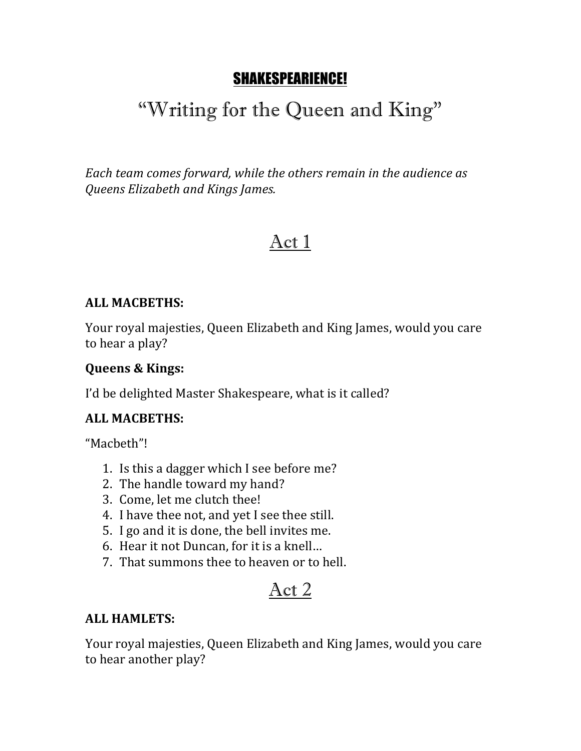# SHAKESPEARIENCE!

# "Writing for the Queen and King"

Each team comes forward, while the others remain in the audience as *Queens Elizabeth and Kings James.*

# Act 1

#### **ALL MACBETHS:**

Your royal majesties, Queen Elizabeth and King James, would you care to hear a play?

#### **Queens & Kings:**

I'd be delighted Master Shakespeare, what is it called?

#### **ALL MACBETHS:**

"Macbeth"!

- 1. Is this a dagger which I see before me?
- 2. The handle toward my hand?
- 3. Come, let me clutch thee!
- 4. I have thee not, and yet I see thee still.
- 5. I go and it is done, the bell invites me.
- 6. Hear it not Duncan, for it is a knell...
- 7. That summons thee to heaven or to hell.

# Act 2

#### **ALL HAMLETS:**

Your royal majesties, Queen Elizabeth and King James, would you care to hear another play?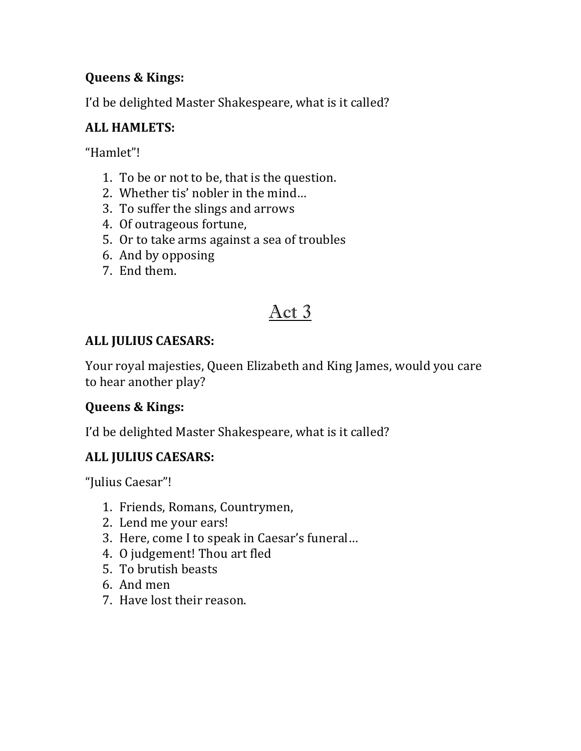### **Queens & Kings:**

I'd be delighted Master Shakespeare, what is it called?

### **ALL HAMLETS:**

"Hamlet"!

- 1. To be or not to be, that is the question.
- 2. Whether tis' nobler in the mind...
- 3. To suffer the slings and arrows
- 4. Of outrageous fortune,
- 5. Or to take arms against a sea of troubles
- 6. And by opposing
- 7. End them.

# Act 3

## **ALL JULIUS CAESARS:**

Your royal majesties, Queen Elizabeth and King James, would you care to hear another play?

### **Queens & Kings:**

I'd be delighted Master Shakespeare, what is it called?

### **ALL JULIUS CAESARS:**

"Julius Caesar"!

- 1. Friends, Romans, Countrymen,
- 2. Lend me your ears!
- 3. Here, come I to speak in Caesar's funeral...
- 4. O judgement! Thou art fled
- 5. To brutish beasts
- 6. And men
- 7. Have lost their reason.